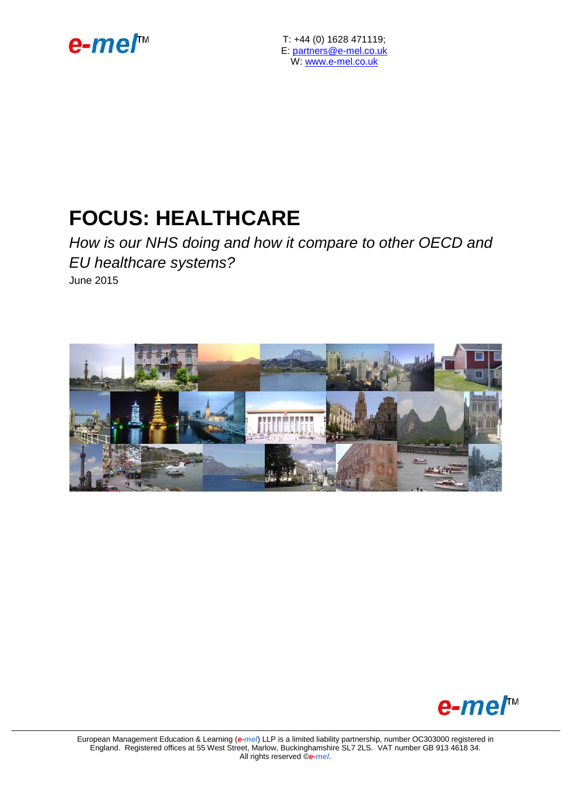

T: +44 (0) 1628 471119; E: [partners@e-mel.co.uk](mailto:partners@e-mel.co.uk) W: [www.e-mel.co.uk](http://www.e-mel.co.uk/)

### **FOCUS: HEALTHCARE**

*How is our NHS doing and how it compare to other OECD and EU healthcare systems?* June 2015





European Management Education & Learning (*e-mel*) LLP is a limited liability partnership, number OC303000 registered in England. Registered offices at 55 West Street, Marlow, Buckinghamshire SL7 2LS. VAT number GB 913 4618 34. All rights reserved ©*e-mel*.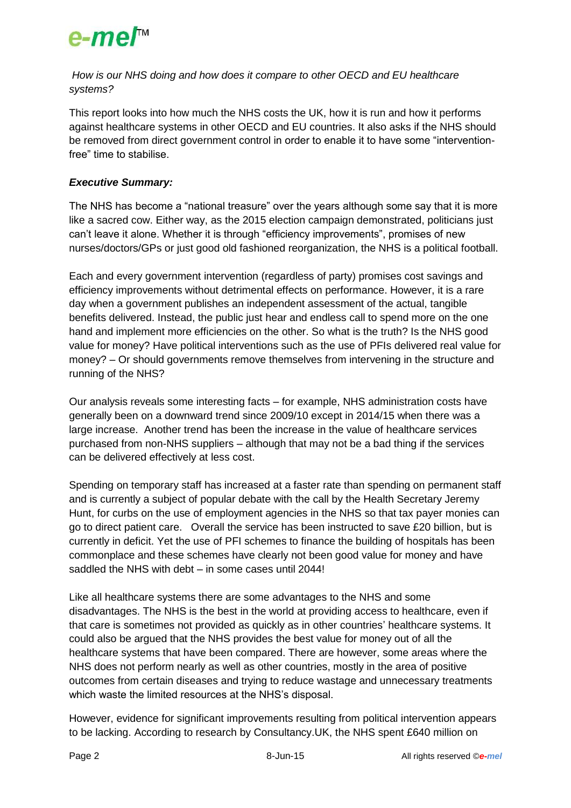

*How is our NHS doing and how does it compare to other OECD and EU healthcare systems?*

This report looks into how much the NHS costs the UK, how it is run and how it performs against healthcare systems in other OECD and EU countries. It also asks if the NHS should be removed from direct government control in order to enable it to have some "interventionfree" time to stabilise.

#### *Executive Summary:*

The NHS has become a "national treasure" over the years although some say that it is more like a sacred cow. Either way, as the 2015 election campaign demonstrated, politicians just can't leave it alone. Whether it is through "efficiency improvements", promises of new nurses/doctors/GPs or just good old fashioned reorganization, the NHS is a political football.

Each and every government intervention (regardless of party) promises cost savings and efficiency improvements without detrimental effects on performance. However, it is a rare day when a government publishes an independent assessment of the actual, tangible benefits delivered. Instead, the public just hear and endless call to spend more on the one hand and implement more efficiencies on the other. So what is the truth? Is the NHS good value for money? Have political interventions such as the use of PFIs delivered real value for money? – Or should governments remove themselves from intervening in the structure and running of the NHS?

Our analysis reveals some interesting facts – for example, NHS administration costs have generally been on a downward trend since 2009/10 except in 2014/15 when there was a large increase. Another trend has been the increase in the value of healthcare services purchased from non-NHS suppliers – although that may not be a bad thing if the services can be delivered effectively at less cost.

Spending on temporary staff has increased at a faster rate than spending on permanent staff and is currently a subject of popular debate with the call by the Health Secretary Jeremy Hunt, for curbs on the use of employment agencies in the NHS so that tax payer monies can go to direct patient care. Overall the service has been instructed to save £20 billion, but is currently in deficit. Yet the use of PFI schemes to finance the building of hospitals has been commonplace and these schemes have clearly not been good value for money and have saddled the NHS with debt – in some cases until 2044!

Like all healthcare systems there are some advantages to the NHS and some disadvantages. The NHS is the best in the world at providing access to healthcare, even if that care is sometimes not provided as quickly as in other countries' healthcare systems. It could also be argued that the NHS provides the best value for money out of all the healthcare systems that have been compared. There are however, some areas where the NHS does not perform nearly as well as other countries, mostly in the area of positive outcomes from certain diseases and trying to reduce wastage and unnecessary treatments which waste the limited resources at the NHS's disposal.

However, evidence for significant improvements resulting from political intervention appears to be lacking. According to research by Consultancy.UK, the NHS spent £640 million on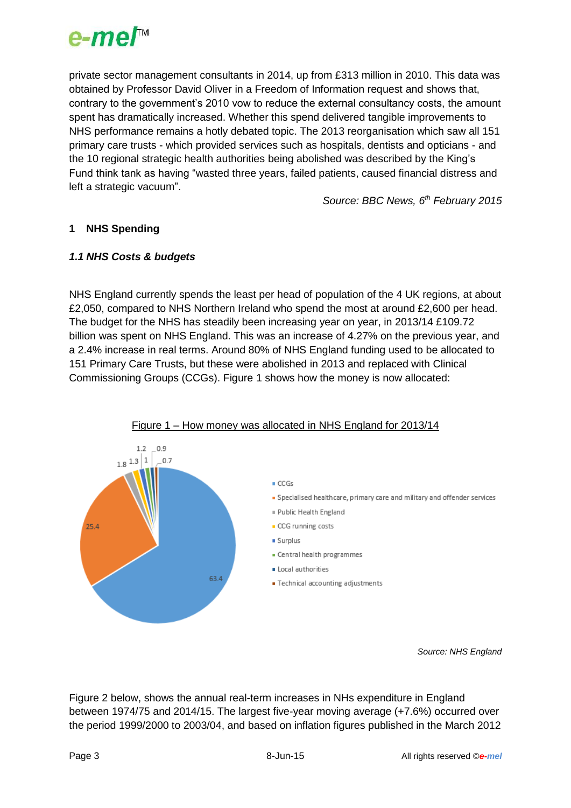

private sector management consultants in 2014, up from £313 million in 2010. This data was obtained by Professor David Oliver in a Freedom of Information request and shows that, contrary to the government's 2010 vow to reduce the external consultancy costs, the amount spent has dramatically increased. Whether this spend delivered tangible improvements to NHS performance remains a hotly debated topic. The 2013 reorganisation which saw all 151 primary care trusts - which provided services such as hospitals, dentists and opticians - and the 10 regional strategic health authorities being abolished was described by the King's Fund think tank as having "wasted three years, failed patients, caused financial distress and left a strategic vacuum".

*Source: BBC News, 6th February 2015*

#### **1 NHS Spending**

#### *1.1 NHS Costs & budgets*

NHS England currently spends the least per head of population of the 4 UK regions, at about £2,050, compared to NHS Northern Ireland who spend the most at around £2,600 per head. The budget for the NHS has steadily been increasing year on year, in 2013/14 £109.72 billion was spent on NHS England. This was an increase of 4.27% on the previous year, and a 2.4% increase in real terms. Around 80% of NHS England funding used to be allocated to 151 Primary Care Trusts, but these were abolished in 2013 and replaced with Clinical Commissioning Groups (CCGs). Figure 1 shows how the money is now allocated:



Figure 1 – How money was allocated in NHS England for 2013/14

*Source: NHS England*

Figure 2 below, shows the annual real-term increases in NHs expenditure in England between 1974/75 and 2014/15. The largest five-year moving average (+7.6%) occurred over the period 1999/2000 to 2003/04, and based on inflation figures published in the March 2012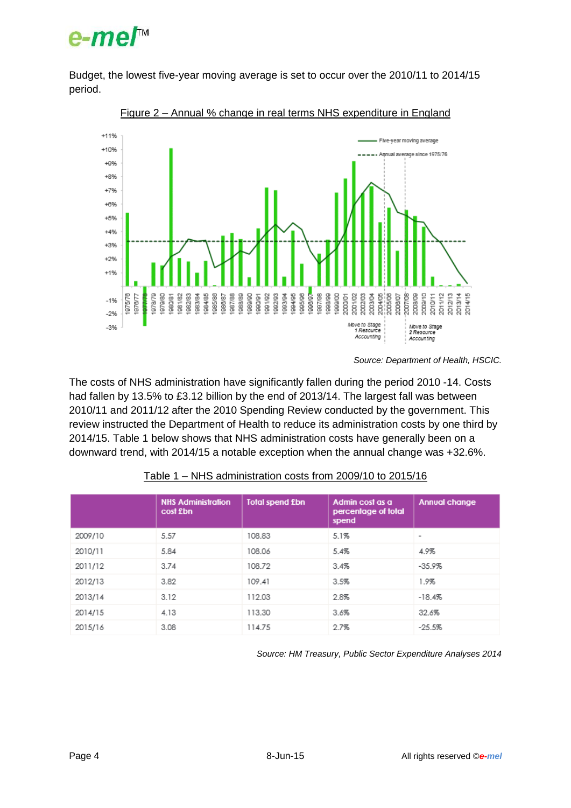### e-me*ľ*<sup>™</sup>

Budget, the lowest five-year moving average is set to occur over the 2010/11 to 2014/15 period.



Figure 2 – Annual % change in real terms NHS expenditure in England

The costs of NHS administration have significantly fallen during the period 2010 -14. Costs had fallen by 13.5% to £3.12 billion by the end of 2013/14. The largest fall was between 2010/11 and 2011/12 after the 2010 Spending Review conducted by the government. This review instructed the Department of Health to reduce its administration costs by one third by 2014/15. Table 1 below shows that NHS administration costs have generally been on a downward trend, with 2014/15 a notable exception when the annual change was +32.6%.

|         | <b>NHS Administration</b><br>cost £bn | <b>Total spend £bn</b> | Admin cost as a<br>percentage of total<br>spend | <b>Annual change</b> |
|---------|---------------------------------------|------------------------|-------------------------------------------------|----------------------|
| 2009/10 | 5.57                                  | 108.83                 | 5.1%                                            | ۰                    |
| 2010/11 | 5.84                                  | 108.06                 | 5.4%                                            | 4.9%                 |
| 2011/12 | 3.74                                  | 108.72                 | 3.4%                                            | $-35.9%$             |
| 2012/13 | 3.82                                  | 109.41                 | 3.5%                                            | 1.9%                 |
| 2013/14 | 3.12                                  | 112.03                 | 2.8%                                            | $-18.4%$             |
| 2014/15 | 4.13                                  | 113.30                 | 3.6%                                            | 32.6%                |
| 2015/16 | 3.08                                  | 114.75                 | 2.7%                                            | $-25.5%$             |

| Table 1 – NHS administration costs from 2009/10 to 2015/16 |
|------------------------------------------------------------|
|------------------------------------------------------------|

*Source: HM Treasury, Public Sector Expenditure Analyses 2014*

*Source: Department of Health, HSCIC.*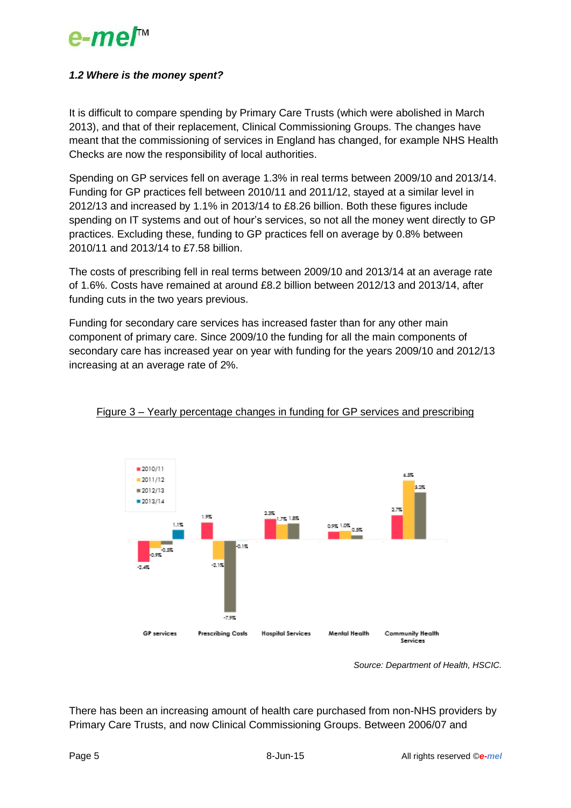

#### *1.2 Where is the money spent?*

It is difficult to compare spending by Primary Care Trusts (which were abolished in March 2013), and that of their replacement, Clinical Commissioning Groups. The changes have meant that the commissioning of services in England has changed, for example NHS Health Checks are now the responsibility of local authorities.

Spending on GP services fell on average 1.3% in real terms between 2009/10 and 2013/14. Funding for GP practices fell between 2010/11 and 2011/12, stayed at a similar level in 2012/13 and increased by 1.1% in 2013/14 to £8.26 billion. Both these figures include spending on IT systems and out of hour's services, so not all the money went directly to GP practices. Excluding these, funding to GP practices fell on average by 0.8% between 2010/11 and 2013/14 to £7.58 billion.

The costs of prescribing fell in real terms between 2009/10 and 2013/14 at an average rate of 1.6%. Costs have remained at around £8.2 billion between 2012/13 and 2013/14, after funding cuts in the two years previous.

Funding for secondary care services has increased faster than for any other main component of primary care. Since 2009/10 the funding for all the main components of secondary care has increased year on year with funding for the years 2009/10 and 2012/13 increasing at an average rate of 2%.



#### Figure 3 – Yearly percentage changes in funding for GP services and prescribing

There has been an increasing amount of health care purchased from non-NHS providers by Primary Care Trusts, and now Clinical Commissioning Groups. Between 2006/07 and

*Source: Department of Health, HSCIC.*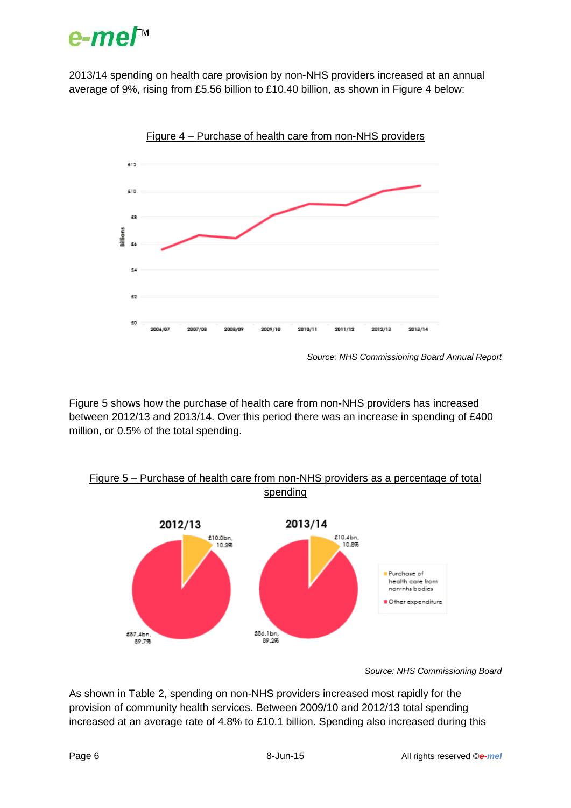### e-mer<sup>™</sup>

2013/14 spending on health care provision by non-NHS providers increased at an annual average of 9%, rising from £5.56 billion to £10.40 billion, as shown in Figure 4 below:



*Source: NHS Commissioning Board Annual Report*

Figure 5 shows how the purchase of health care from non-NHS providers has increased between 2012/13 and 2013/14. Over this period there was an increase in spending of £400 million, or 0.5% of the total spending.



### Figure 5 – Purchase of health care from non-NHS providers as a percentage of total spending

*Source: NHS Commissioning Board*

As shown in Table 2, spending on non-NHS providers increased most rapidly for the provision of community health services. Between 2009/10 and 2012/13 total spending increased at an average rate of 4.8% to £10.1 billion. Spending also increased during this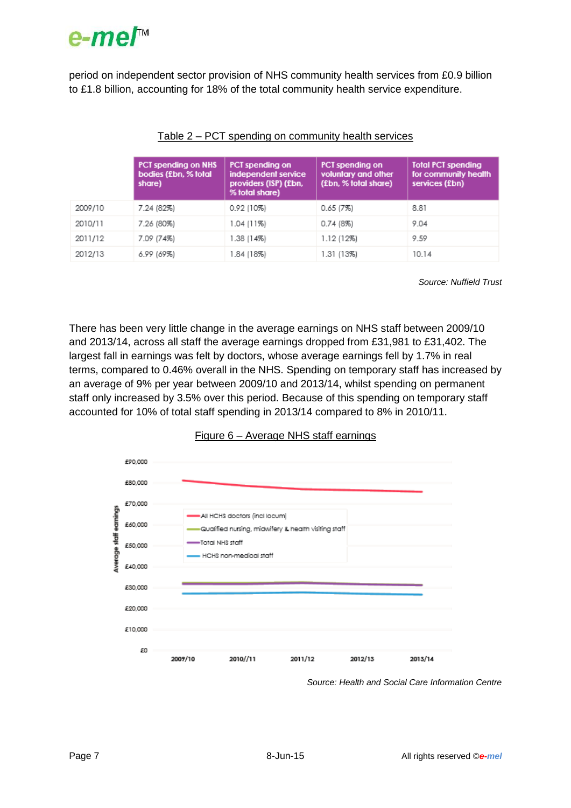

period on independent sector provision of NHS community health services from £0.9 billion to £1.8 billion, accounting for 18% of the total community health service expenditure.

|         | <b>PCT spending on NHS</b><br>bodies (£bn, % total<br>share) | PCT spending on<br>independent service<br>providers (ISP) (£bn,<br>% total share) | <b>PCT</b> spending on<br>voluntary and other<br>(£bn, % total share) | <b>Total PCT spending</b><br>for community health<br>services (£bn) |  |  |
|---------|--------------------------------------------------------------|-----------------------------------------------------------------------------------|-----------------------------------------------------------------------|---------------------------------------------------------------------|--|--|
| 2009/10 | 7.24 (82%)                                                   | 0.92 (10%)                                                                        | 0.65(7%)                                                              | 8.81                                                                |  |  |
| 2010/11 | 7.26 (80%)                                                   | 1.04 (11%)                                                                        | $0.74(8\%)$                                                           | 9.04                                                                |  |  |
| 2011/12 | 7.09 (74%)                                                   | 1.38 (14%)                                                                        | 1.12 (12%)                                                            | 9.59                                                                |  |  |
| 2012/13 | 6.99 (69%)                                                   | 1.84 (18%)                                                                        | 1.31 (13%)                                                            | 10.14                                                               |  |  |

#### Table 2 – PCT spending on community health services

*Source: Nuffield Trust*

There has been very little change in the average earnings on NHS staff between 2009/10 and 2013/14, across all staff the average earnings dropped from £31,981 to £31,402. The largest fall in earnings was felt by doctors, whose average earnings fell by 1.7% in real terms, compared to 0.46% overall in the NHS. Spending on temporary staff has increased by an average of 9% per year between 2009/10 and 2013/14, whilst spending on permanent staff only increased by 3.5% over this period. Because of this spending on temporary staff accounted for 10% of total staff spending in 2013/14 compared to 8% in 2010/11.





*Source: Health and Social Care Information Centre*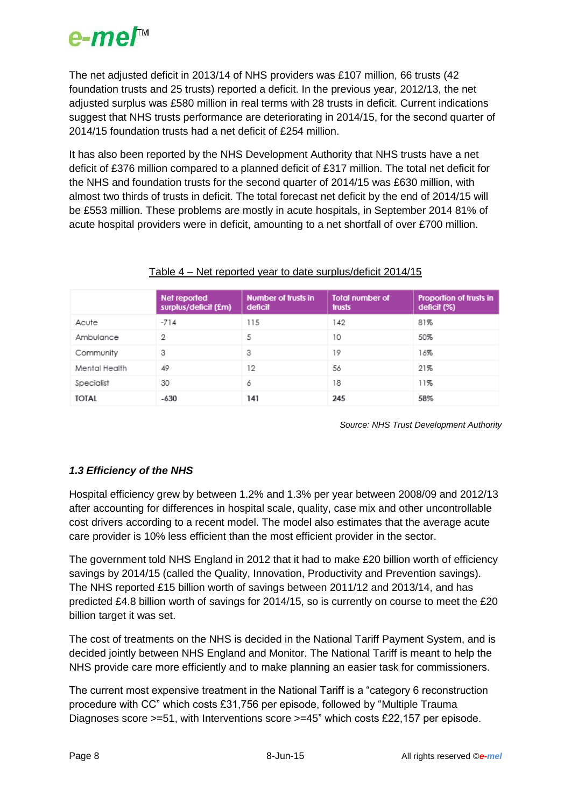

The net adjusted deficit in 2013/14 of NHS providers was £107 million, 66 trusts (42 foundation trusts and 25 trusts) reported a deficit. In the previous year, 2012/13, the net adjusted surplus was £580 million in real terms with 28 trusts in deficit. Current indications suggest that NHS trusts performance are deteriorating in 2014/15, for the second quarter of 2014/15 foundation trusts had a net deficit of £254 million.

It has also been reported by the NHS Development Authority that NHS trusts have a net deficit of £376 million compared to a planned deficit of £317 million. The total net deficit for the NHS and foundation trusts for the second quarter of 2014/15 was £630 million, with almost two thirds of trusts in deficit. The total forecast net deficit by the end of 2014/15 will be £553 million. These problems are mostly in acute hospitals, in September 2014 81% of acute hospital providers were in deficit, amounting to a net shortfall of over £700 million.

|               | Net reported<br>surplus/deficit (£m) | <b>Number of trusts in</b><br>deficit | <b>Total number of</b><br>trusts | Proportion of trusts in<br>deficit (%) |  |
|---------------|--------------------------------------|---------------------------------------|----------------------------------|----------------------------------------|--|
| Acute         | $-714$                               | 115                                   | 142                              | 81%                                    |  |
| Ambulance     | 2                                    | 5                                     | 10                               | 50%                                    |  |
| Community     | З                                    | З                                     | 19                               | 16%                                    |  |
| Mental Health | 49                                   | 12                                    | -56                              | 21%                                    |  |
| Specialist    | 30                                   | 6                                     | 18                               | 11%                                    |  |
| <b>TOTAL</b>  | $-630$                               | 141                                   | 245                              | 58%                                    |  |

#### Table 4 – Net reported year to date surplus/deficit 2014/15

*Source: NHS Trust Development Authority*

#### *1.3 Efficiency of the NHS*

Hospital efficiency grew by between 1.2% and 1.3% per year between 2008/09 and 2012/13 after accounting for differences in hospital scale, quality, case mix and other uncontrollable cost drivers according to a recent model. The model also estimates that the average acute care provider is 10% less efficient than the most efficient provider in the sector.

The government told NHS England in 2012 that it had to make £20 billion worth of efficiency savings by 2014/15 (called the Quality, Innovation, Productivity and Prevention savings). The NHS reported £15 billion worth of savings between 2011/12 and 2013/14, and has predicted £4.8 billion worth of savings for 2014/15, so is currently on course to meet the £20 billion target it was set.

The cost of treatments on the NHS is decided in the National Tariff Payment System, and is decided jointly between NHS England and Monitor. The National Tariff is meant to help the NHS provide care more efficiently and to make planning an easier task for commissioners.

The current most expensive treatment in the National Tariff is a "category 6 reconstruction procedure with CC" which costs £31,756 per episode, followed by "Multiple Trauma Diagnoses score >=51, with Interventions score >=45" which costs £22,157 per episode.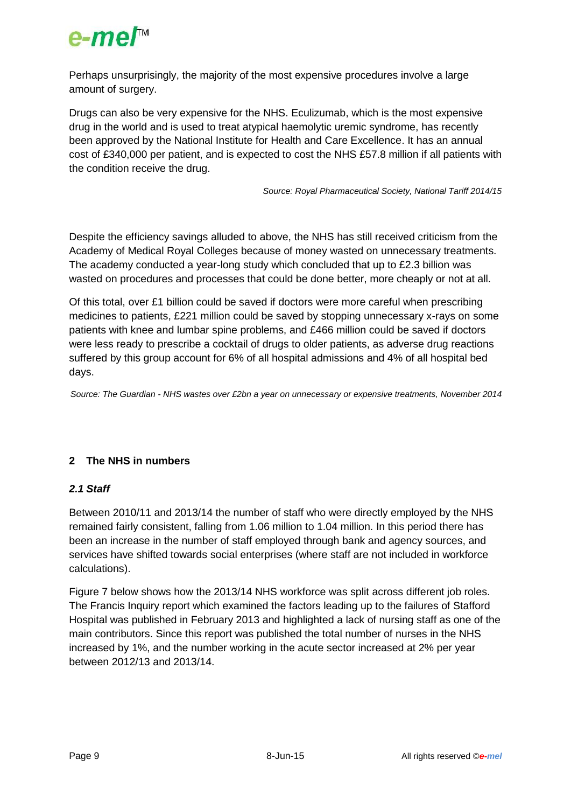

Perhaps unsurprisingly, the majority of the most expensive procedures involve a large amount of surgery.

Drugs can also be very expensive for the NHS. Eculizumab, which is the most expensive drug in the world and is used to treat atypical haemolytic uremic syndrome, has recently been approved by the National Institute for Health and Care Excellence. It has an annual cost of £340,000 per patient, and is expected to cost the NHS £57.8 million if all patients with the condition receive the drug.

*Source: Royal Pharmaceutical Society, National Tariff 2014/15*

Despite the efficiency savings alluded to above, the NHS has still received criticism from the Academy of Medical Royal Colleges because of money wasted on unnecessary treatments. The academy conducted a year-long study which concluded that up to £2.3 billion was wasted on procedures and processes that could be done better, more cheaply or not at all.

Of this total, over £1 billion could be saved if doctors were more careful when prescribing medicines to patients, £221 million could be saved by stopping unnecessary x-rays on some patients with knee and lumbar spine problems, and £466 million could be saved if doctors were less ready to prescribe a cocktail of drugs to older patients, as adverse drug reactions suffered by this group account for 6% of all hospital admissions and 4% of all hospital bed days.

*Source: The Guardian - NHS wastes over £2bn a year on unnecessary or expensive treatments, November 2014*

#### **2 The NHS in numbers**

#### *2.1 Staff*

Between 2010/11 and 2013/14 the number of staff who were directly employed by the NHS remained fairly consistent, falling from 1.06 million to 1.04 million. In this period there has been an increase in the number of staff employed through bank and agency sources, and services have shifted towards social enterprises (where staff are not included in workforce calculations).

Figure 7 below shows how the 2013/14 NHS workforce was split across different job roles. The Francis Inquiry report which examined the factors leading up to the failures of Stafford Hospital was published in February 2013 and highlighted a lack of nursing staff as one of the main contributors. Since this report was published the total number of nurses in the NHS increased by 1%, and the number working in the acute sector increased at 2% per year between 2012/13 and 2013/14.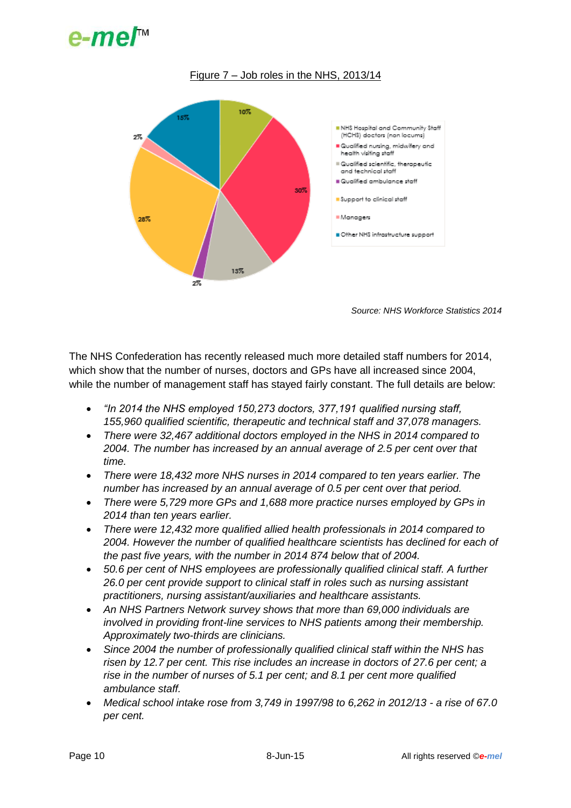# $e$ -me $I^{\scriptscriptstyle\mathsf{M}}$

#### Figure 7 – Job roles in the NHS, 2013/14



*Source: NHS Workforce Statistics 2014*

The NHS Confederation has recently released much more detailed staff numbers for 2014, which show that the number of nurses, doctors and GPs have all increased since 2004, while the number of management staff has stayed fairly constant. The full details are below:

- *"In 2014 the NHS employed 150,273 doctors, 377,191 qualified nursing staff, 155,960 qualified scientific, therapeutic and technical staff and 37,078 managers.*
- *There were 32,467 additional doctors employed in the NHS in 2014 compared to 2004. The number has increased by an annual average of 2.5 per cent over that time.*
- *There were 18,432 more NHS nurses in 2014 compared to ten years earlier. The number has increased by an annual average of 0.5 per cent over that period.*
- *There were 5,729 more GPs and 1,688 more practice nurses employed by GPs in 2014 than ten years earlier.*
- *There were 12,432 more qualified allied health professionals in 2014 compared to 2004. However the number of qualified healthcare scientists has declined for each of the past five years, with the number in 2014 874 below that of 2004.*
- *50.6 per cent of NHS employees are professionally qualified clinical staff. A further 26.0 per cent provide support to clinical staff in roles such as nursing assistant practitioners, nursing assistant/auxiliaries and healthcare assistants.*
- *An NHS Partners Network survey shows that more than 69,000 individuals are involved in providing front-line services to NHS patients among their membership. Approximately two-thirds are clinicians.*
- *Since 2004 the number of professionally qualified clinical staff within the NHS has risen by 12.7 per cent. This rise includes an increase in doctors of 27.6 per cent; a rise in the number of nurses of 5.1 per cent; and 8.1 per cent more qualified ambulance staff.*
- *Medical school intake rose from 3,749 in 1997/98 to 6,262 in 2012/13 - a rise of 67.0 per cent.*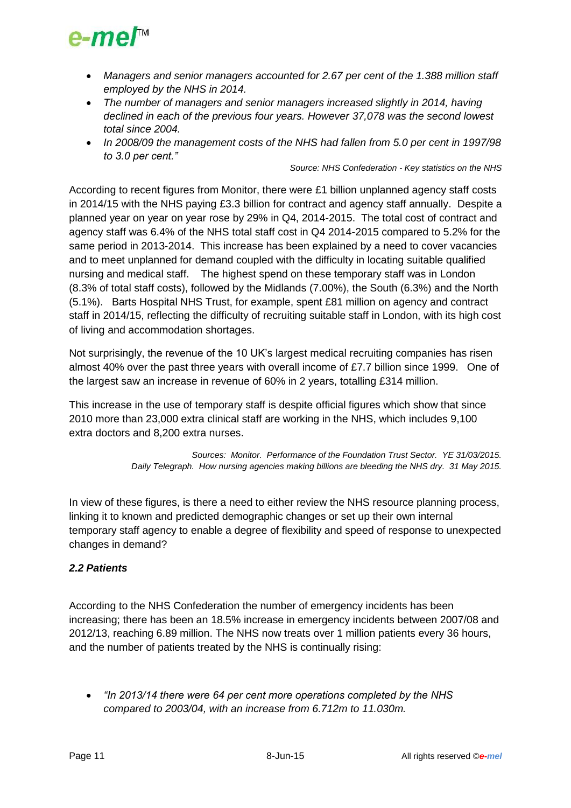

- *Managers and senior managers accounted for 2.67 per cent of the 1.388 million staff employed by the NHS in 2014.*
- *The number of managers and senior managers increased slightly in 2014, having declined in each of the previous four years. However 37,078 was the second lowest total since 2004.*
- *In 2008/09 the management costs of the NHS had fallen from 5.0 per cent in 1997/98 to 3.0 per cent."*

*Source: NHS Confederation - Key statistics on the NHS*

According to recent figures from Monitor, there were £1 billion unplanned agency staff costs in 2014/15 with the NHS paying £3.3 billion for contract and agency staff annually. Despite a planned year on year on year rose by 29% in Q4, 2014-2015. The total cost of contract and agency staff was 6.4% of the NHS total staff cost in Q4 2014-2015 compared to 5.2% for the same period in 2013-2014. This increase has been explained by a need to cover vacancies and to meet unplanned for demand coupled with the difficulty in locating suitable qualified nursing and medical staff. The highest spend on these temporary staff was in London (8.3% of total staff costs), followed by the Midlands (7.00%), the South (6.3%) and the North (5.1%). Barts Hospital NHS Trust, for example, spent £81 million on agency and contract staff in 2014/15, reflecting the difficulty of recruiting suitable staff in London, with its high cost of living and accommodation shortages.

Not surprisingly, the revenue of the 10 UK's largest medical recruiting companies has risen almost 40% over the past three years with overall income of £7.7 billion since 1999. One of the largest saw an increase in revenue of 60% in 2 years, totalling £314 million.

This increase in the use of temporary staff is despite official figures which show that since 2010 more than 23,000 extra clinical staff are working in the NHS, which includes 9,100 extra doctors and 8,200 extra nurses.

> *Sources: Monitor. Performance of the Foundation Trust Sector. YE 31/03/2015. Daily Telegraph. How nursing agencies making billions are bleeding the NHS dry. 31 May 2015.*

In view of these figures, is there a need to either review the NHS resource planning process, linking it to known and predicted demographic changes or set up their own internal temporary staff agency to enable a degree of flexibility and speed of response to unexpected changes in demand?

#### *2.2 Patients*

According to the NHS Confederation the number of emergency incidents has been increasing; there has been an 18.5% increase in emergency incidents between 2007/08 and 2012/13, reaching 6.89 million. The NHS now treats over 1 million patients every 36 hours, and the number of patients treated by the NHS is continually rising:

 *"In 2013/14 there were 64 per cent more operations completed by the NHS compared to 2003/04, with an increase from 6.712m to 11.030m.*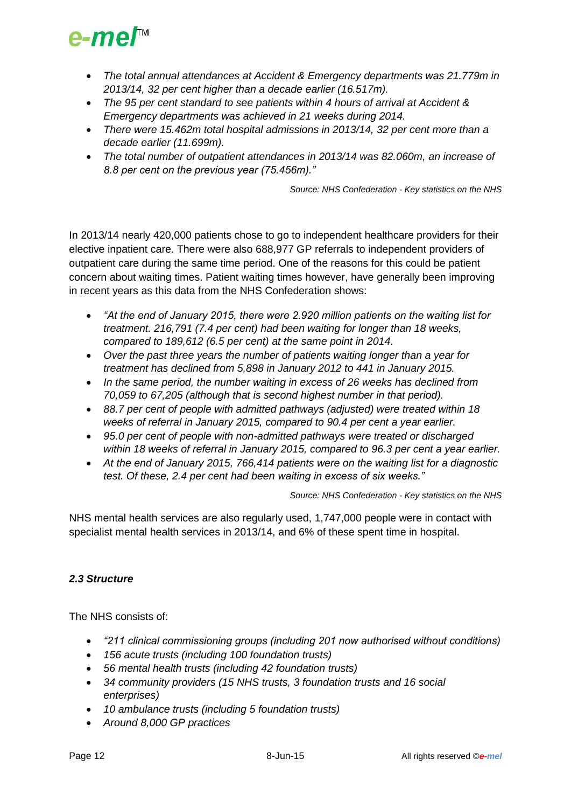

- *The total annual attendances at Accident & Emergency departments was 21.779m in 2013/14, 32 per cent higher than a decade earlier (16.517m).*
- *The 95 per cent standard to see patients within 4 hours of arrival at Accident & Emergency departments was achieved in 21 weeks during 2014.*
- *There were 15.462m total hospital admissions in 2013/14, 32 per cent more than a decade earlier (11.699m).*
- *The total number of outpatient attendances in 2013/14 was 82.060m, an increase of 8.8 per cent on the previous year (75.456m)."*

*Source: NHS Confederation - Key statistics on the NHS*

In 2013/14 nearly 420,000 patients chose to go to independent healthcare providers for their elective inpatient care. There were also 688,977 GP referrals to independent providers of outpatient care during the same time period. One of the reasons for this could be patient concern about waiting times. Patient waiting times however, have generally been improving in recent years as this data from the NHS Confederation shows:

- *"At the end of January 2015, there were 2.920 million patients on the waiting list for treatment. 216,791 (7.4 per cent) had been waiting for longer than 18 weeks, compared to 189,612 (6.5 per cent) at the same point in 2014.*
- *Over the past three years the number of patients waiting longer than a year for treatment has declined from 5,898 in January 2012 to 441 in January 2015.*
- *In the same period, the number waiting in excess of 26 weeks has declined from 70,059 to 67,205 (although that is second highest number in that period).*
- *88.7 per cent of people with admitted pathways (adjusted) were treated within 18 weeks of referral in January 2015, compared to 90.4 per cent a year earlier.*
- *95.0 per cent of people with non-admitted pathways were treated or discharged within 18 weeks of referral in January 2015, compared to 96.3 per cent a year earlier.*
- *At the end of January 2015, 766,414 patients were on the waiting list for a diagnostic test. Of these, 2.4 per cent had been waiting in excess of six weeks."*

*Source: NHS Confederation - Key statistics on the NHS*

NHS mental health services are also regularly used, 1,747,000 people were in contact with specialist mental health services in 2013/14, and 6% of these spent time in hospital.

#### *2.3 Structure*

The NHS consists of:

- *"211 clinical commissioning groups (including 201 now authorised without conditions)*
- *156 acute trusts (including 100 foundation trusts)*
- *56 mental health trusts (including 42 foundation trusts)*
- *34 community providers (15 NHS trusts, 3 foundation trusts and 16 social enterprises)*
- *10 ambulance trusts (including 5 foundation trusts)*
- *Around 8,000 GP practices*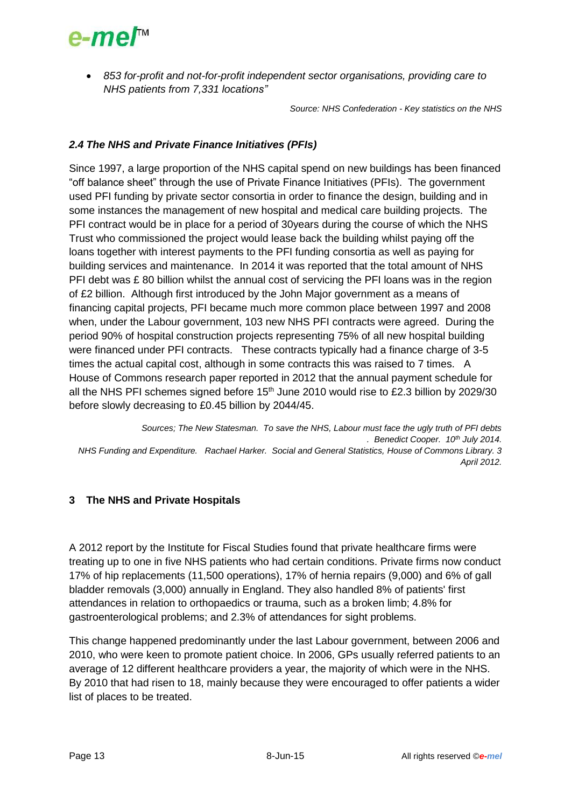

 *853 for-profit and not-for-profit independent sector organisations, providing care to NHS patients from 7,331 locations"*

*Source: NHS Confederation - Key statistics on the NHS*

#### *2.4 The NHS and Private Finance Initiatives (PFIs)*

Since 1997, a large proportion of the NHS capital spend on new buildings has been financed "off balance sheet" through the use of Private Finance Initiatives (PFIs). The government used PFI funding by private sector consortia in order to finance the design, building and in some instances the management of new hospital and medical care building projects. The PFI contract would be in place for a period of 30years during the course of which the NHS Trust who commissioned the project would lease back the building whilst paying off the loans together with interest payments to the PFI funding consortia as well as paying for building services and maintenance. In 2014 it was reported that the total amount of NHS PFI debt was £80 billion whilst the annual cost of servicing the PFI loans was in the region of £2 billion. Although first introduced by the John Major government as a means of financing capital projects, PFI became much more common place between 1997 and 2008 when, under the Labour government, 103 new NHS PFI contracts were agreed. During the period 90% of hospital construction projects representing 75% of all new hospital building were financed under PFI contracts. These contracts typically had a finance charge of 3-5 times the actual capital cost, although in some contracts this was raised to 7 times. A House of Commons research paper reported in 2012 that the annual payment schedule for all the NHS PFI schemes signed before 15<sup>th</sup> June 2010 would rise to £2.3 billion by 2029/30 before slowly decreasing to £0.45 billion by 2044/45.

*Sources; The New Statesman. To save the NHS, Labour must face the ugly truth of PFI debts . Benedict Cooper. 10th July 2014. NHS Funding and Expenditure. Rachael Harker. Social and General Statistics, House of Commons Library. 3 April 2012.*

#### **3 The NHS and Private Hospitals**

A 2012 report by the Institute for Fiscal Studies found that private healthcare firms were treating up to one in five NHS patients who had certain conditions. Private firms now conduct 17% of hip replacements (11,500 operations), 17% of hernia repairs (9,000) and 6% of gall bladder removals (3,000) annually in England. They also handled 8% of patients' first attendances in relation to orthopaedics or trauma, such as a broken limb; 4.8% for gastroenterological problems; and 2.3% of attendances for sight problems.

This change happened predominantly under the last Labour government, between 2006 and 2010, who were keen to promote patient choice. In 2006, GPs usually referred patients to an average of 12 different healthcare providers a year, the majority of which were in the NHS. By 2010 that had risen to 18, mainly because they were encouraged to offer patients a wider list of places to be treated.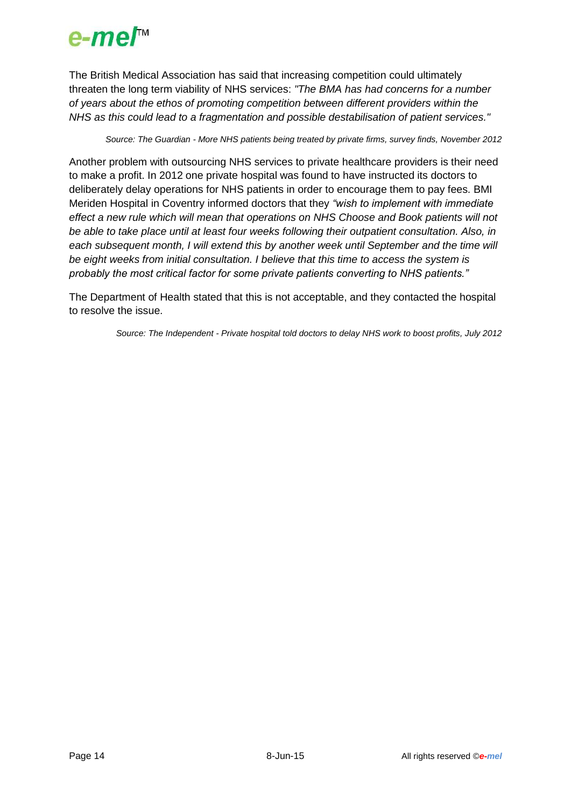

The British Medical Association has said that increasing competition could ultimately threaten the long term viability of NHS services: *"The BMA has had concerns for a number of years about the ethos of promoting competition between different providers within the NHS as this could lead to a fragmentation and possible destabilisation of patient services."*

*Source: The Guardian - More NHS patients being treated by private firms, survey finds, November 2012*

Another problem with outsourcing NHS services to private healthcare providers is their need to make a profit. In 2012 one private hospital was found to have instructed its doctors to deliberately delay operations for NHS patients in order to encourage them to pay fees. BMI Meriden Hospital in Coventry informed doctors that they *"wish to implement with immediate effect a new rule which will mean that operations on NHS Choose and Book patients will not be able to take place until at least four weeks following their outpatient consultation. Also, in each subsequent month, I will extend this by another week until September and the time will be eight weeks from initial consultation. I believe that this time to access the system is probably the most critical factor for some private patients converting to NHS patients."*

The Department of Health stated that this is not acceptable, and they contacted the hospital to resolve the issue.

*Source: The Independent - Private hospital told doctors to delay NHS work to boost profits, July 2012*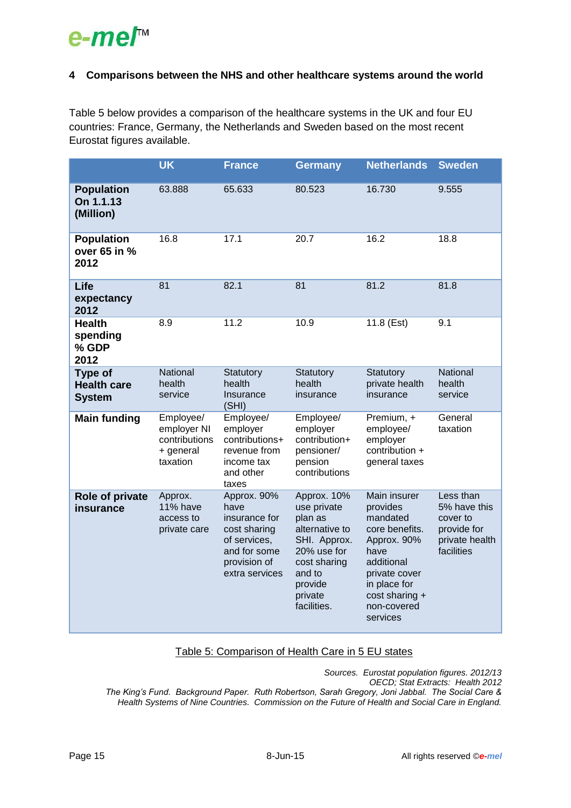## e-me/™

#### **4 Comparisons between the NHS and other healthcare systems around the world**

Table 5 below provides a comparison of the healthcare systems in the UK and four EU countries: France, Germany, the Netherlands and Sweden based on the most recent Eurostat figures available.

|                                                | <b>UK</b>                                                          | <b>France</b>                                                                                                          | <b>Germany</b>                                                                                                                                        | <b>Netherlands</b>                                                                                                                                                        | <b>Sweden</b>                                                                        |  |
|------------------------------------------------|--------------------------------------------------------------------|------------------------------------------------------------------------------------------------------------------------|-------------------------------------------------------------------------------------------------------------------------------------------------------|---------------------------------------------------------------------------------------------------------------------------------------------------------------------------|--------------------------------------------------------------------------------------|--|
| <b>Population</b><br>On 1.1.13<br>(Million)    | 63.888                                                             | 65.633                                                                                                                 | 80.523                                                                                                                                                | 16.730                                                                                                                                                                    | 9.555                                                                                |  |
| <b>Population</b><br>over 65 in %<br>2012      | 16.8                                                               | 17.1                                                                                                                   | 20.7                                                                                                                                                  | 16.2                                                                                                                                                                      | 18.8<br>81.8                                                                         |  |
| Life<br>expectancy<br>2012                     | 81                                                                 | 82.1                                                                                                                   | 81                                                                                                                                                    | 81.2                                                                                                                                                                      |                                                                                      |  |
| <b>Health</b><br>spending<br>% GDP<br>2012     | 8.9<br>11.2                                                        |                                                                                                                        | 10.9                                                                                                                                                  | 11.8 (Est)                                                                                                                                                                | 9.1                                                                                  |  |
| Type of<br><b>Health care</b><br><b>System</b> | National<br>health<br>service                                      | Statutory<br>health<br>Insurance<br>(SHI)                                                                              | Statutory<br>health<br>insurance                                                                                                                      | Statutory<br>private health<br>insurance                                                                                                                                  | National<br>health<br>service                                                        |  |
| <b>Main funding</b>                            | Employee/<br>employer NI<br>contributions<br>+ general<br>taxation | Employee/<br>employer<br>contributions+<br>revenue from<br>income tax<br>and other<br>taxes                            | Employee/<br>employer<br>contribution+<br>pensioner/<br>pension<br>contributions                                                                      | Premium, +<br>employee/<br>employer<br>contribution +<br>general taxes                                                                                                    | General<br>taxation                                                                  |  |
| Role of private<br>insurance                   | Approx.<br><b>11% have</b><br>access to<br>private care            | Approx. 90%<br>have<br>insurance for<br>cost sharing<br>of services,<br>and for some<br>provision of<br>extra services | Approx. 10%<br>use private<br>plan as<br>alternative to<br>SHI. Approx.<br>20% use for<br>cost sharing<br>and to<br>provide<br>private<br>facilities. | Main insurer<br>provides<br>mandated<br>core benefits.<br>Approx. 90%<br>have<br>additional<br>private cover<br>in place for<br>cost sharing +<br>non-covered<br>services | Less than<br>5% have this<br>cover to<br>provide for<br>private health<br>facilities |  |

#### Table 5: Comparison of Health Care in 5 EU states

*Sources. Eurostat population figures. 2012/13 OECD; Stat Extracts: Health 2012 The King's Fund. Background Paper. Ruth Robertson, Sarah Gregory, Joni Jabbal. The Social Care & Health Systems of Nine Countries. Commission on the Future of Health and Social Care in England.*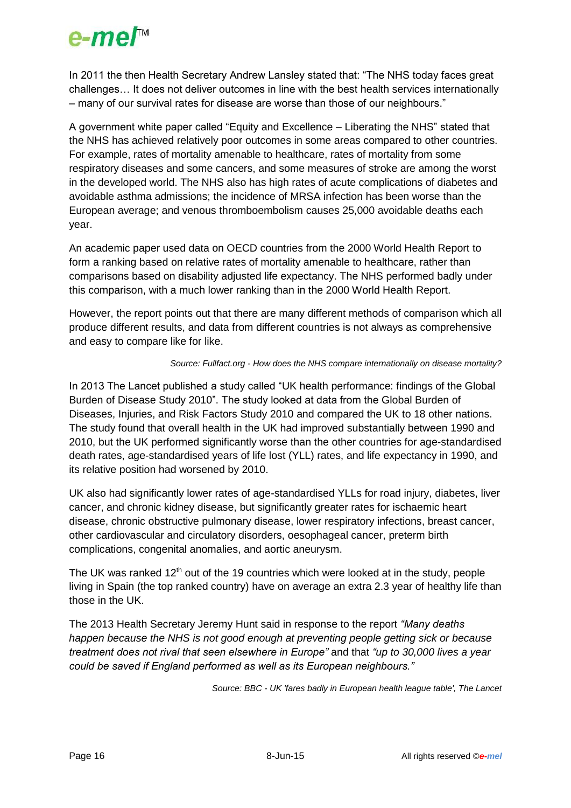# e-mer<sup>™</sup>

In 2011 the then Health Secretary Andrew Lansley stated that: "The NHS today faces great challenges… It does not deliver outcomes in line with the best health services internationally – many of our survival rates for disease are worse than those of our neighbours."

A government white paper called "Equity and Excellence – Liberating the NHS" stated that the NHS has achieved relatively poor outcomes in some areas compared to other countries. For example, rates of mortality amenable to healthcare, rates of mortality from some respiratory diseases and some cancers, and some measures of stroke are among the worst in the developed world. The NHS also has high rates of acute complications of diabetes and avoidable asthma admissions; the incidence of MRSA infection has been worse than the European average; and venous thromboembolism causes 25,000 avoidable deaths each year.

An academic paper used data on OECD countries from the 2000 World Health Report to form a ranking based on relative rates of mortality amenable to healthcare, rather than comparisons based on disability adjusted life expectancy. The NHS performed badly under this comparison, with a much lower ranking than in the 2000 World Health Report.

However, the report points out that there are many different methods of comparison which all produce different results, and data from different countries is not always as comprehensive and easy to compare like for like.

#### *Source: Fullfact.org - How does the NHS compare internationally on disease mortality?*

In 2013 The Lancet published a study called "UK health performance: findings of the Global Burden of Disease Study 2010". The study looked at data from the Global Burden of Diseases, Injuries, and Risk Factors Study 2010 and compared the UK to 18 other nations. The study found that overall health in the UK had improved substantially between 1990 and 2010, but the UK performed significantly worse than the other countries for age-standardised death rates, age-standardised years of life lost (YLL) rates, and life expectancy in 1990, and its relative position had worsened by 2010.

UK also had significantly lower rates of age-standardised YLLs for road injury, diabetes, liver cancer, and chronic kidney disease, but significantly greater rates for ischaemic heart disease, chronic obstructive pulmonary disease, lower respiratory infections, breast cancer, other cardiovascular and circulatory disorders, oesophageal cancer, preterm birth complications, congenital anomalies, and aortic aneurysm.

The UK was ranked 12<sup>th</sup> out of the 19 countries which were looked at in the study, people living in Spain (the top ranked country) have on average an extra 2.3 year of healthy life than those in the UK.

The 2013 Health Secretary Jeremy Hunt said in response to the report *"Many deaths happen because the NHS is not good enough at preventing people getting sick or because treatment does not rival that seen elsewhere in Europe"* and that *"up to 30,000 lives a year could be saved if England performed as well as its European neighbours."*

*Source: BBC - UK 'fares badly in European health league table', The Lancet*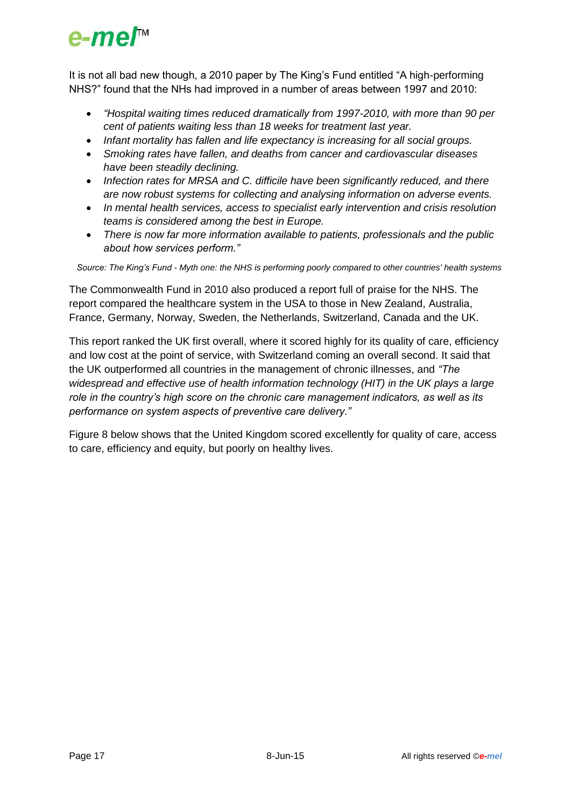# $e$ -me $I^{\scriptscriptstyle\mathsf{M}}$

It is not all bad new though, a 2010 paper by The King's Fund entitled "A high-performing NHS?" found that the NHs had improved in a number of areas between 1997 and 2010:

- *"Hospital waiting times reduced dramatically from 1997-2010, with more than 90 per cent of patients waiting less than 18 weeks for treatment last year.*
- *Infant mortality has fallen and life expectancy is increasing for all social groups.*
- *Smoking rates have fallen, and deaths from cancer and cardiovascular diseases have been steadily declining.*
- *Infection rates for MRSA and C. difficile have been significantly reduced, and there are now robust systems for collecting and analysing information on adverse events.*
- *In mental health services, access to specialist early intervention and crisis resolution teams is considered among the best in Europe.*
- *There is now far more information available to patients, professionals and the public about how services perform."*

*Source: The King's Fund - Myth one: the NHS is performing poorly compared to other countries' health systems*

The Commonwealth Fund in 2010 also produced a report full of praise for the NHS. The report compared the healthcare system in the USA to those in New Zealand, Australia, France, Germany, Norway, Sweden, the Netherlands, Switzerland, Canada and the UK.

This report ranked the UK first overall, where it scored highly for its quality of care, efficiency and low cost at the point of service, with Switzerland coming an overall second. It said that the UK outperformed all countries in the management of chronic illnesses, and *"The widespread and effective use of health information technology (HIT) in the UK plays a large role in the country's high score on the chronic care management indicators, as well as its performance on system aspects of preventive care delivery."*

Figure 8 below shows that the United Kingdom scored excellently for quality of care, access to care, efficiency and equity, but poorly on healthy lives.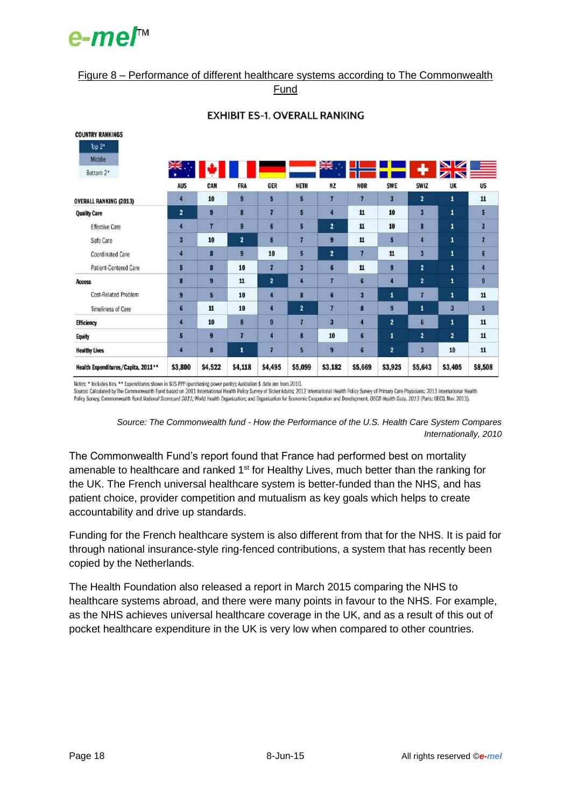# $e$ -me $I^{\scriptscriptstyle\mathsf{M}}$

#### Figure 8 – Performance of different healthcare systems according to The Commonwealth

Fund

| Health Expenditures/Capita, 2011** | \$3,800                 | \$4,522          | \$4,118                 | \$4,495        | \$5,099                 | \$3,182                 | \$5,669                 | \$3,925                 | \$5,643                 | \$3,405                 | \$8,508                 |
|------------------------------------|-------------------------|------------------|-------------------------|----------------|-------------------------|-------------------------|-------------------------|-------------------------|-------------------------|-------------------------|-------------------------|
| <b>Healthy Lives</b>               | 4                       | $\bf{8}$         | $\mathbf{1}$            | $\overline{7}$ | 5                       | $\boldsymbol{9}$        | 6                       | $\overline{2}$          | $\overline{\mathbf{3}}$ | 10                      | 11                      |
| <b>Equity</b>                      | 5                       | $\boldsymbol{9}$ | 7                       | 4              | $\overline{\mathbf{8}}$ | 10                      | 6                       | 1                       | $\overline{2}$          | $\overline{2}$          | 11                      |
| <b>Efficiency</b>                  | 4                       | 10               | $\bf{8}$                | $\overline{9}$ | 7                       | $\overline{\mathbf{3}}$ | 4                       | $\overline{2}$          | 6                       | 1                       | 11                      |
| Timeliness of Care                 | 6                       | 11               | 10                      | 4              | $\overline{2}$          | 7                       | $\overline{\mathbf{8}}$ | $\boldsymbol{9}$        | 1                       | $\overline{\mathbf{3}}$ | 5                       |
| Cost-Related Problem               | $\overline{9}$          | 5                | 10                      | 4              | 8                       | $\bf{6}$                | $\overline{\mathbf{3}}$ | 1                       | 7                       | $\mathbf{1}$            | 11                      |
| <b>Access</b>                      | 8                       | $\boldsymbol{9}$ | 11                      | $\overline{2}$ | 4                       | 7                       | $6\phantom{a}$          | Z                       | $\overline{2}$          | $\mathbf{1}$            | $\boldsymbol{9}$        |
| Patient-Centered Care              | 5                       | 8                | 10                      | 7              | 3                       | 6                       | 11                      | 9                       | $\overline{2}$          | 1                       | 4                       |
| Coordinated Care                   | 4                       | 8                | $\overline{9}$          | 10             | 5                       | $\mathbf{2}$            | $\overline{1}$          | 11                      | 3                       | 1                       | 6                       |
| Safe Care                          | $\overline{\mathbf{3}}$ | 10               | $\overline{2}$          | $6\phantom{a}$ | 7                       | $\overline{9}$          | 11                      | 5                       | 4                       | 1                       | $\overline{7}$          |
| <b>Effective Care</b>              | 4                       | 7                | $\boldsymbol{9}$        | 6              | 5                       | $\overline{2}$          | ${\bf 11}$              | 10                      | 8                       | 1                       | $\overline{\mathbf{3}}$ |
| <b>Quality Care</b>                | $\overline{2}$          | $\overline{9}$   | $\overline{\mathbf{8}}$ | 7              | 5                       | 4                       | 11                      | 10                      | $\overline{\mathbf{3}}$ | $\mathbf{1}$            | 5                       |
| <b>OVERALL RANKING (2013)</b>      | 4                       | 10               | $\overline{9}$          | 5              | 5                       | 7                       | 7                       | $\overline{\mathbf{3}}$ | $\overline{2}$          | 1                       | 11                      |
|                                    | <b>AUS</b>              | CAN              | <b>FRA</b>              | <b>GER</b>     | <b>NETH</b>             | <b>NZ</b>               | <b>NOR</b>              | <b>SWE</b>              | <b>SWIZ</b>             | UK                      | <b>US</b>               |
| Bottom 2*                          |                         |                  |                         |                |                         | ≱⊭                      |                         |                         | ᆂ                       | NZ                      |                         |
| Middle                             |                         |                  |                         |                |                         |                         |                         |                         |                         |                         |                         |
| $\text{Do 2}^*$                    |                         |                  |                         |                |                         |                         |                         |                         |                         |                         |                         |

#### **EXHIBIT ES-1. OVERALL RANKING**

Notes: \* Includes ties. \*\* Expenditures shown in SUS PPP (purchasing power parity); Australian \$ data are from 2010.

Source: Calculated by The Commonwealth Fund based on 2011 International Health Policy Survey of Sicker Adults; 2012 International Health Policy Survey of Primary Care Physicians; 2013 International Health Policy Survey, Commonwealth Fund National Scorecard 2011; World Health Organization; and Organization for Economic Cooperation and Development, OECD Health Data, 2013 (Paris: OECD, Nov. 2013).

> *Source: The Commonwealth fund - How the Performance of the U.S. Health Care System Compares Internationally, 2010*

The Commonwealth Fund's report found that France had performed best on mortality amenable to healthcare and ranked  $1<sup>st</sup>$  for Healthy Lives, much better than the ranking for the UK. The French universal healthcare system is better-funded than the NHS, and has patient choice, provider competition and mutualism as key goals which helps to create accountability and drive up standards.

Funding for the French healthcare system is also different from that for the NHS. It is paid for through national insurance-style ring-fenced contributions, a system that has recently been copied by the Netherlands.

The Health Foundation also released a report in March 2015 comparing the NHS to healthcare systems abroad, and there were many points in favour to the NHS. For example, as the NHS achieves universal healthcare coverage in the UK, and as a result of this out of pocket healthcare expenditure in the UK is very low when compared to other countries.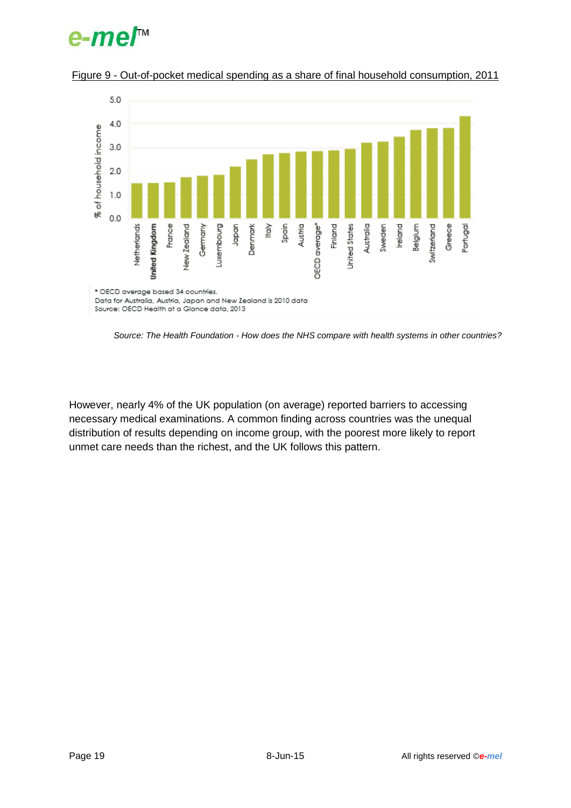# e-me/™



Figure 9 - Out-of-pocket medical spending as a share of final household consumption, 2011

*Source: The Health Foundation - How does the NHS compare with health systems in other countries?*

However, nearly 4% of the UK population (on average) reported barriers to accessing necessary medical examinations. A common finding across countries was the unequal distribution of results depending on income group, with the poorest more likely to report unmet care needs than the richest, and the UK follows this pattern.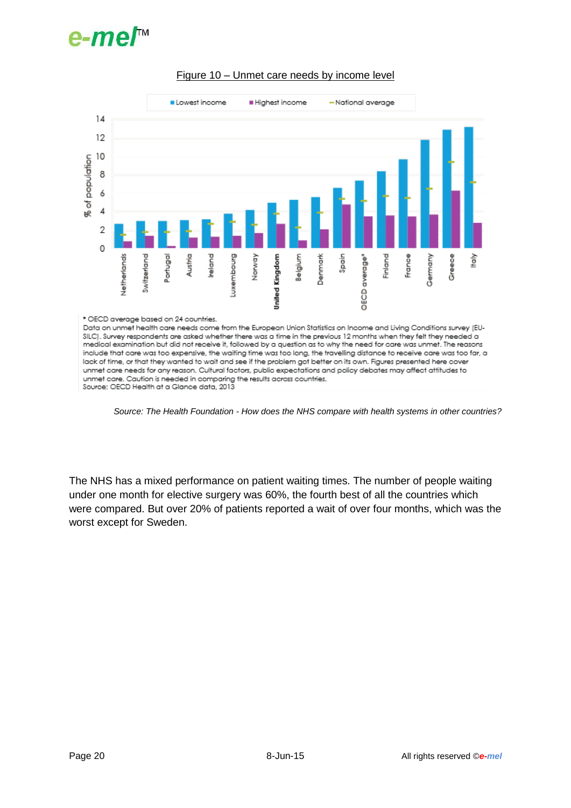





#### \* OECD average based on 24 countries.

Data on unmet health care needs come from the European Union Statistics on Income and Living Conditions survey (EU-SILC). Survey respondents are asked whether there was a time in the previous 12 months when they felt they needed a medical examination but did not receive it, followed by a question as to why the need for care was unmet. The reasons include that care was too expensive, the waiting time was too long, the travelling distance to receive care was too far, a lack of time, or that they wanted to wait and see if the problem got better on its own. Figures presented here cover unmet care needs for any reason. Cultural factors, public expectations and policy debates may affect attitudes to unmet care. Caution is needed in comparing the results across countries. Source: OECD Health at a Glance data, 2013



The NHS has a mixed performance on patient waiting times. The number of people waiting under one month for elective surgery was 60%, the fourth best of all the countries which were compared. But over 20% of patients reported a wait of over four months, which was the worst except for Sweden.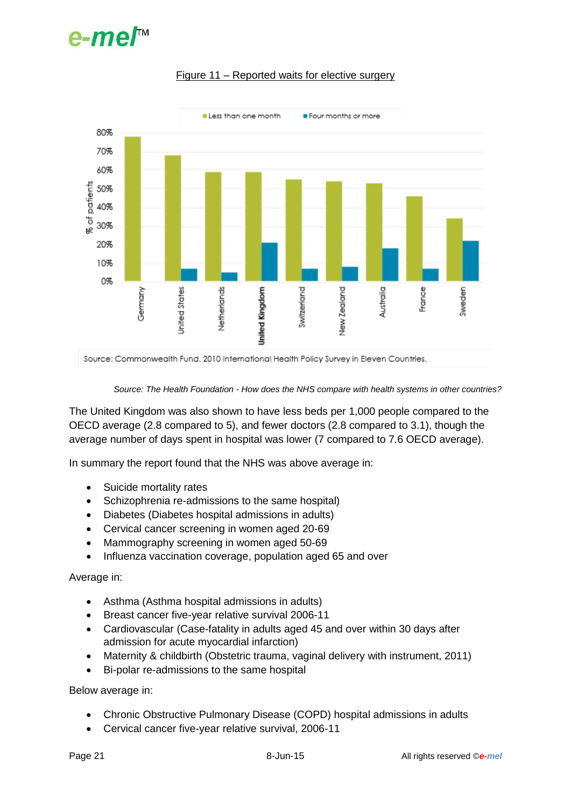



#### Figure 11 – Reported waits for elective surgery

#### *Source: The Health Foundation - How does the NHS compare with health systems in other countries?*

The United Kingdom was also shown to have less beds per 1,000 people compared to the OECD average (2.8 compared to 5), and fewer doctors (2.8 compared to 3.1), though the average number of days spent in hospital was lower (7 compared to 7.6 OECD average).

In summary the report found that the NHS was above average in:

- Suicide mortality rates
- Schizophrenia re-admissions to the same hospital)
- Diabetes (Diabetes hospital admissions in adults)
- Cervical cancer screening in women aged 20-69
- Mammography screening in women aged 50-69
- Influenza vaccination coverage, population aged 65 and over

#### Average in:

- Asthma (Asthma hospital admissions in adults)
- Breast cancer five-year relative survival 2006-11
- Cardiovascular (Case-fatality in adults aged 45 and over within 30 days after admission for acute myocardial infarction)
- Maternity & childbirth (Obstetric trauma, vaginal delivery with instrument, 2011)
- Bi-polar re-admissions to the same hospital

Below average in:

- Chronic Obstructive Pulmonary Disease (COPD) hospital admissions in adults
- Cervical cancer five-year relative survival, 2006-11